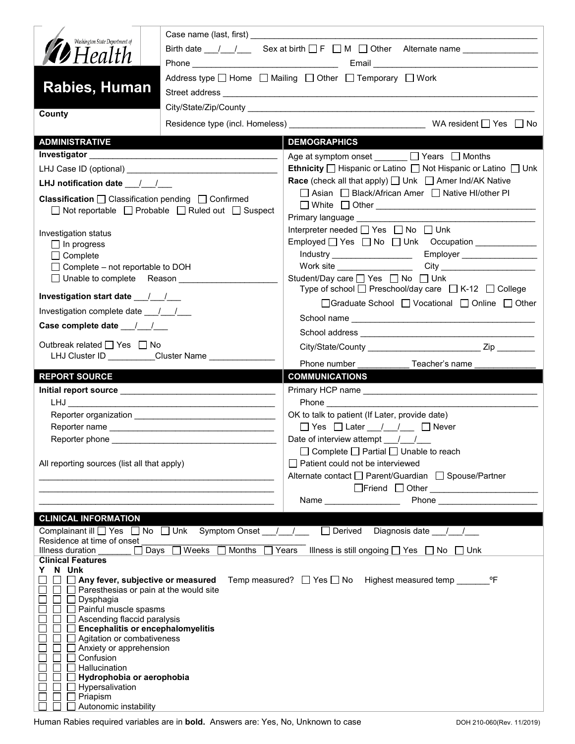| Washington State Department of<br><b>12</b> Health                      |                                                                       | Case name (last, first) and the control of the control of the control of the control of the control of the control of the control of the control of the control of the control of the control of the control of the control of<br>Birth date $\frac{1}{\sqrt{2}}$ Sex at birth $\Box F \Box M \Box$ Other Alternate name $\Box$ |
|-------------------------------------------------------------------------|-----------------------------------------------------------------------|---------------------------------------------------------------------------------------------------------------------------------------------------------------------------------------------------------------------------------------------------------------------------------------------------------------------------------|
| Rabies, Human                                                           |                                                                       | Address type   Home   Mailing   Other   Temporary   Work                                                                                                                                                                                                                                                                        |
| County                                                                  |                                                                       |                                                                                                                                                                                                                                                                                                                                 |
| <b>ADMINISTRATIVE</b>                                                   |                                                                       | <b>DEMOGRAPHICS</b>                                                                                                                                                                                                                                                                                                             |
|                                                                         |                                                                       | Age at symptom onset _______ □ Years □ Months                                                                                                                                                                                                                                                                                   |
|                                                                         |                                                                       | Ethnicity □ Hispanic or Latino □ Not Hispanic or Latino □ Unk                                                                                                                                                                                                                                                                   |
| LHJ notification date __/__/__                                          |                                                                       | <b>Race</b> (check all that apply) $\Box$ Unk $\Box$ Amer Ind/AK Native                                                                                                                                                                                                                                                         |
| <b>Classification</b> □ Classification pending □ Confirmed              |                                                                       | □ Asian □ Black/African Amer □ Native HI/other PI                                                                                                                                                                                                                                                                               |
|                                                                         | $\Box$ Not reportable $\Box$ Probable $\Box$ Ruled out $\Box$ Suspect |                                                                                                                                                                                                                                                                                                                                 |
|                                                                         |                                                                       |                                                                                                                                                                                                                                                                                                                                 |
| Investigation status                                                    |                                                                       | Interpreter needed $\Box$ Yes $\Box$ No $\Box$ Unk                                                                                                                                                                                                                                                                              |
| $\Box$ In progress                                                      |                                                                       | Employed T Yes T No T Unk Occupation                                                                                                                                                                                                                                                                                            |
| $\Box$ Complete                                                         |                                                                       | Employer<br>Industry ____________________                                                                                                                                                                                                                                                                                       |
| $\Box$ Complete – not reportable to DOH<br>□ Unable to complete Reason  |                                                                       | Work site ___________________<br>Student/Day care   Yes   No   Unk                                                                                                                                                                                                                                                              |
|                                                                         |                                                                       | Type of school □ Preschool/day care □ K-12 □ College                                                                                                                                                                                                                                                                            |
| Investigation start date ____/____/                                     |                                                                       | □Graduate School □ Vocational □ Online □ Other                                                                                                                                                                                                                                                                                  |
| Investigation complete date 11/1                                        |                                                                       |                                                                                                                                                                                                                                                                                                                                 |
|                                                                         |                                                                       |                                                                                                                                                                                                                                                                                                                                 |
| Outbreak related □ Yes □ No                                             |                                                                       |                                                                                                                                                                                                                                                                                                                                 |
| LHJ Cluster ID _________Cluster Name ___________                        |                                                                       |                                                                                                                                                                                                                                                                                                                                 |
|                                                                         |                                                                       | Phone number ________________ Teacher's name                                                                                                                                                                                                                                                                                    |
|                                                                         |                                                                       |                                                                                                                                                                                                                                                                                                                                 |
| <b>REPORT SOURCE</b>                                                    |                                                                       | <b>COMMUNICATIONS</b>                                                                                                                                                                                                                                                                                                           |
|                                                                         |                                                                       |                                                                                                                                                                                                                                                                                                                                 |
|                                                                         |                                                                       |                                                                                                                                                                                                                                                                                                                                 |
|                                                                         |                                                                       | OK to talk to patient (If Later, provide date)                                                                                                                                                                                                                                                                                  |
|                                                                         |                                                                       | $\Box$ Yes $\Box$ Later $\Box$ / $\Box$ Never                                                                                                                                                                                                                                                                                   |
|                                                                         |                                                                       | Date of interview attempt / /                                                                                                                                                                                                                                                                                                   |
|                                                                         |                                                                       | $\Box$ Complete $\Box$ Partial $\Box$ Unable to reach<br>Patient could not be interviewed                                                                                                                                                                                                                                       |
| All reporting sources (list all that apply)                             |                                                                       | Alternate contact<br>□ Parent/Guardian<br>□ Spouse/Partner                                                                                                                                                                                                                                                                      |
|                                                                         |                                                                       |                                                                                                                                                                                                                                                                                                                                 |
|                                                                         |                                                                       | Name _________________                                                                                                                                                                                                                                                                                                          |
|                                                                         |                                                                       |                                                                                                                                                                                                                                                                                                                                 |
| <b>CLINICAL INFORMATION</b>                                             |                                                                       |                                                                                                                                                                                                                                                                                                                                 |
| Residence at time of onset                                              |                                                                       | Complainant ill $\Box$ Yes $\Box$ No $\Box$ Unk Symptom Onset / / $\Box$ Derived Diagnosis date / /                                                                                                                                                                                                                             |
| Illness duration                                                        | $\Box$ Days $\Box$ Weeks $\Box$<br>Months □ Years                     | Illness is still ongoing $\Box$ Yes $\Box$ No $\Box$ Unk                                                                                                                                                                                                                                                                        |
| <b>Clinical Features</b>                                                |                                                                       |                                                                                                                                                                                                                                                                                                                                 |
| Y N Unk<br>$\perp$<br>Any fever, subjective or measured                 |                                                                       | Temp measured? □ Yes □ No Highest measured temp __________ ºF                                                                                                                                                                                                                                                                   |
| Paresthesias or pain at the would site                                  |                                                                       |                                                                                                                                                                                                                                                                                                                                 |
| Dysphagia                                                               |                                                                       |                                                                                                                                                                                                                                                                                                                                 |
| $\Box$ Painful muscle spasms                                            |                                                                       |                                                                                                                                                                                                                                                                                                                                 |
| Ascending flaccid paralysis<br><b>Encephalitis or encephalomyelitis</b> |                                                                       |                                                                                                                                                                                                                                                                                                                                 |
| Agitation or combativeness                                              |                                                                       |                                                                                                                                                                                                                                                                                                                                 |
| $\Box$ Anxiety or apprehension                                          |                                                                       |                                                                                                                                                                                                                                                                                                                                 |
| Confusion<br>Hallucination                                              |                                                                       |                                                                                                                                                                                                                                                                                                                                 |
| Hydrophobia or aerophobia                                               |                                                                       |                                                                                                                                                                                                                                                                                                                                 |
| Hypersalivation<br>Priapism                                             |                                                                       |                                                                                                                                                                                                                                                                                                                                 |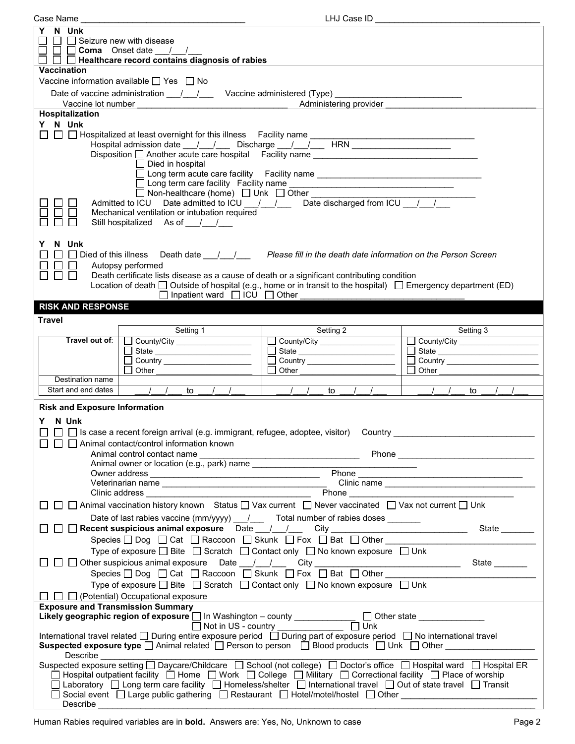|                                                                                                                                                                                                                                                                         | LHJ Case ID                                                                      |                                                                            |
|-------------------------------------------------------------------------------------------------------------------------------------------------------------------------------------------------------------------------------------------------------------------------|----------------------------------------------------------------------------------|----------------------------------------------------------------------------|
| N Unk<br>Y                                                                                                                                                                                                                                                              |                                                                                  |                                                                            |
| $\Box$ Seizure new with disease<br>$\Box$                                                                                                                                                                                                                               |                                                                                  |                                                                            |
| $\Box$ Coma Onset date $\Box$                                                                                                                                                                                                                                           |                                                                                  |                                                                            |
| $\Box$ $\Box$ Healthcare record contains diagnosis of rabies                                                                                                                                                                                                            |                                                                                  |                                                                            |
| <b>Vaccination</b>                                                                                                                                                                                                                                                      |                                                                                  |                                                                            |
| Vaccine information available $\Box$ Yes $\Box$ No                                                                                                                                                                                                                      |                                                                                  |                                                                            |
|                                                                                                                                                                                                                                                                         |                                                                                  |                                                                            |
| Date of vaccine administration ___/___/ Vaccine administered (Type) _______________________________                                                                                                                                                                     |                                                                                  |                                                                            |
| Vaccine lot number                                                                                                                                                                                                                                                      | Administering provider                                                           |                                                                            |
| Hospitalization                                                                                                                                                                                                                                                         |                                                                                  |                                                                            |
| Y N Unk                                                                                                                                                                                                                                                                 |                                                                                  |                                                                            |
| □ □ Hospitalized at least overnight for this illness Facility name _____                                                                                                                                                                                                |                                                                                  |                                                                            |
| Hospital admission date ___/___/ ____ Discharge ___/___/ ____ HRN _______________                                                                                                                                                                                       |                                                                                  | the control of the control of the control of the control of the control of |
|                                                                                                                                                                                                                                                                         |                                                                                  |                                                                            |
| Disposition □ Another acute care hospital Facility name ________________________                                                                                                                                                                                        |                                                                                  |                                                                            |
| $\Box$ Died in hospital                                                                                                                                                                                                                                                 |                                                                                  |                                                                            |
|                                                                                                                                                                                                                                                                         | □ Long term acute care facility Facility name __________________________________ |                                                                            |
|                                                                                                                                                                                                                                                                         |                                                                                  |                                                                            |
|                                                                                                                                                                                                                                                                         |                                                                                  |                                                                            |
| Admitted to ICU Date admitted to ICU / / / Date discharged from ICU / /                                                                                                                                                                                                 |                                                                                  |                                                                            |
| Mechanical ventilation or intubation required                                                                                                                                                                                                                           |                                                                                  |                                                                            |
| Still hospitalized As of 1.1.                                                                                                                                                                                                                                           |                                                                                  |                                                                            |
|                                                                                                                                                                                                                                                                         |                                                                                  |                                                                            |
| N Unk<br>Y.                                                                                                                                                                                                                                                             |                                                                                  |                                                                            |
|                                                                                                                                                                                                                                                                         |                                                                                  |                                                                            |
|                                                                                                                                                                                                                                                                         |                                                                                  |                                                                            |
| Autopsy performed                                                                                                                                                                                                                                                       |                                                                                  |                                                                            |
| Death certificate lists disease as a cause of death or a significant contributing condition                                                                                                                                                                             |                                                                                  |                                                                            |
| Location of death $\Box$ Outside of hospital (e.g., home or in transit to the hospital) $\Box$ Emergency department (ED)                                                                                                                                                |                                                                                  |                                                                            |
| □ Inpatient ward □ ICU □ Other                                                                                                                                                                                                                                          |                                                                                  |                                                                            |
| <b>RISK AND RESPONSE</b>                                                                                                                                                                                                                                                |                                                                                  |                                                                            |
| <b>Travel</b>                                                                                                                                                                                                                                                           |                                                                                  |                                                                            |
|                                                                                                                                                                                                                                                                         |                                                                                  |                                                                            |
| Setting 1                                                                                                                                                                                                                                                               | Setting 2                                                                        | Setting 3                                                                  |
| Travel out of:  <br>$\Box$ County/City ___________________                                                                                                                                                                                                              | $\Box$ County/City ___________________                                           | County/City                                                                |
|                                                                                                                                                                                                                                                                         |                                                                                  | $\Box$                                                                     |
|                                                                                                                                                                                                                                                                         |                                                                                  | $\Box$                                                                     |
|                                                                                                                                                                                                                                                                         |                                                                                  |                                                                            |
| Country ________________________<br>Other                                                                                                                                                                                                                               | Other                                                                            | Other                                                                      |
| Destination name                                                                                                                                                                                                                                                        |                                                                                  |                                                                            |
| Start and end dates<br>$\sqrt{1}$<br>$\sqrt{1}$                                                                                                                                                                                                                         | $\sqrt{1}$<br>$\sqrt{1}$                                                         | $\sqrt{1}$                                                                 |
| to                                                                                                                                                                                                                                                                      | to                                                                               | to                                                                         |
| <b>Risk and Exposure Information</b>                                                                                                                                                                                                                                    |                                                                                  |                                                                            |
|                                                                                                                                                                                                                                                                         |                                                                                  |                                                                            |
| N Unk<br>Y.                                                                                                                                                                                                                                                             |                                                                                  |                                                                            |
| $\Box$ Is case a recent foreign arrival (e.g. immigrant, refugee, adoptee, visitor)                                                                                                                                                                                     | Country                                                                          |                                                                            |
| Animal contact/control information known                                                                                                                                                                                                                                |                                                                                  |                                                                            |
|                                                                                                                                                                                                                                                                         |                                                                                  |                                                                            |
|                                                                                                                                                                                                                                                                         |                                                                                  |                                                                            |
|                                                                                                                                                                                                                                                                         |                                                                                  |                                                                            |
|                                                                                                                                                                                                                                                                         |                                                                                  |                                                                            |
|                                                                                                                                                                                                                                                                         |                                                                                  |                                                                            |
|                                                                                                                                                                                                                                                                         |                                                                                  |                                                                            |
| □ Animal vaccination history known Status □ Vax current □ Never vaccinated □ Vax not current □ Unk                                                                                                                                                                      |                                                                                  |                                                                            |
|                                                                                                                                                                                                                                                                         |                                                                                  |                                                                            |
| Date of last rabies vaccine (mm/yyyy) __/___ Total number of rabies doses ______                                                                                                                                                                                        |                                                                                  |                                                                            |
|                                                                                                                                                                                                                                                                         |                                                                                  | State                                                                      |
|                                                                                                                                                                                                                                                                         |                                                                                  |                                                                            |
| Type of exposure □ Bite □ Scratch □ Contact only □ No known exposure □ Unk                                                                                                                                                                                              |                                                                                  |                                                                            |
|                                                                                                                                                                                                                                                                         |                                                                                  |                                                                            |
|                                                                                                                                                                                                                                                                         |                                                                                  |                                                                            |
|                                                                                                                                                                                                                                                                         |                                                                                  |                                                                            |
| Type of exposure $\Box$ Bite $\Box$ Scratch $\Box$ Contact only $\Box$ No known exposure $\Box$ Unk                                                                                                                                                                     |                                                                                  |                                                                            |
| $\Box$ $\Box$ (Potential) Occupational exposure                                                                                                                                                                                                                         |                                                                                  |                                                                            |
| <b>Exposure and Transmission Summary</b>                                                                                                                                                                                                                                |                                                                                  |                                                                            |
|                                                                                                                                                                                                                                                                         |                                                                                  |                                                                            |
|                                                                                                                                                                                                                                                                         |                                                                                  |                                                                            |
| Likely geographic region of exposure $\Box$ In Washington – county $\Box$ $\Box$ Other state $\Box$<br>$\Box$ Not in US - country $\Box$ Unk<br>International travel related □ During entire exposure period □ During part of exposure period □ No international travel |                                                                                  |                                                                            |
| <b>Suspected exposure type</b> $\square$ Animal related $\square$ Person to person $\square$ Blood products $\square$ Unk $\square$ Other                                                                                                                               |                                                                                  |                                                                            |
| Describe                                                                                                                                                                                                                                                                |                                                                                  |                                                                            |
|                                                                                                                                                                                                                                                                         |                                                                                  |                                                                            |
| Suspected exposure setting Daycare/Childcare D School (not college) D Doctor's office D Hospital ward D Hospital ER                                                                                                                                                     |                                                                                  |                                                                            |
| $\Box$ Hospital outpatient facility $\Box$ Home $\Box$ Work $\Box$ College $\Box$ Military $\Box$ Correctional facility $\Box$ Place of worship                                                                                                                         |                                                                                  |                                                                            |
| □ Laboratory □ Long term care facility □ Homeless/shelter □ International travel □ Out of state travel □ Transit                                                                                                                                                        |                                                                                  |                                                                            |
| □ Social event □ Large public gathering □ Restaurant □ Hotel/motel/hostel □ Other National Community Development<br>Describe                                                                                                                                            |                                                                                  |                                                                            |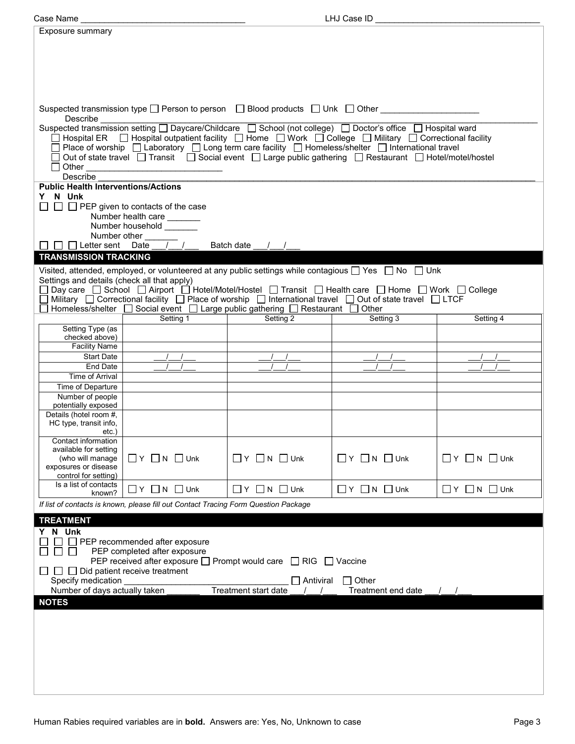| Case Name                                   |                                                                                     |                                                                                                                                  | LHJ Case ID                  |                                  |
|---------------------------------------------|-------------------------------------------------------------------------------------|----------------------------------------------------------------------------------------------------------------------------------|------------------------------|----------------------------------|
| Exposure summary                            |                                                                                     |                                                                                                                                  |                              |                                  |
|                                             |                                                                                     |                                                                                                                                  |                              |                                  |
|                                             |                                                                                     |                                                                                                                                  |                              |                                  |
|                                             |                                                                                     |                                                                                                                                  |                              |                                  |
|                                             |                                                                                     |                                                                                                                                  |                              |                                  |
|                                             |                                                                                     |                                                                                                                                  |                              |                                  |
|                                             |                                                                                     |                                                                                                                                  |                              |                                  |
|                                             |                                                                                     |                                                                                                                                  |                              |                                  |
|                                             |                                                                                     | Suspected transmission type □ Person to person □ Blood products □ Unk □ Other _______________                                    |                              |                                  |
| Describe                                    |                                                                                     |                                                                                                                                  |                              |                                  |
|                                             |                                                                                     | Suspected transmission setting □ Daycare/Childcare □ School (not college) □ Doctor's office □ Hospital ward                      |                              |                                  |
|                                             |                                                                                     | コ Hospital ER  ロ Hospital outpatient facility ロ Home ロ Work ロ College ロ Military ロ Correctional facility                         |                              |                                  |
|                                             |                                                                                     | Place of worship □ Laboratory □ Long term care facility □ Homeless/shelter □ International travel                                |                              |                                  |
|                                             |                                                                                     | Out of state travel □ Transit [ Social event [ Large public gathering [ Restaurant [ Hotel/motel/hostel                          |                              |                                  |
| $\Box$ Other                                | the control of the control of the control of the control of the control of          |                                                                                                                                  |                              |                                  |
| Describe                                    |                                                                                     |                                                                                                                                  |                              |                                  |
| <b>Public Health Interventions/Actions</b>  |                                                                                     |                                                                                                                                  |                              |                                  |
| Y N Unk                                     |                                                                                     |                                                                                                                                  |                              |                                  |
|                                             | $\Box$ PEP given to contacts of the case                                            |                                                                                                                                  |                              |                                  |
|                                             | Number health care                                                                  |                                                                                                                                  |                              |                                  |
|                                             | Number household                                                                    |                                                                                                                                  |                              |                                  |
| Number other                                |                                                                                     |                                                                                                                                  |                              |                                  |
| □ Letter sent Date                          |                                                                                     | Batch date<br>$\sqrt{1}$                                                                                                         |                              |                                  |
| <b>TRANSMISSION TRACKING</b>                |                                                                                     |                                                                                                                                  |                              |                                  |
|                                             |                                                                                     |                                                                                                                                  |                              |                                  |
|                                             |                                                                                     | Visited, attended, employed, or volunteered at any public settings while contagious $\Box$ Yes $\Box$ No $\Box$ Unk              |                              |                                  |
| Settings and details (check all that apply) |                                                                                     | Day care □ School □ Airport □ Hotel/Motel/Hostel □ Transit □ Health care □ Home □ Work □ College                                 |                              |                                  |
|                                             |                                                                                     | Military $\Box$ Correctional facility $\Box$ Place of worship $\Box$ International travel $\Box$ Out of state travel $\Box$ LTCF |                              |                                  |
|                                             |                                                                                     | Homeless/shelter<br>□ Social event<br>□ Large public gathering  □ Restaurant □ Other                                             |                              |                                  |
|                                             | Setting 1                                                                           | Setting 2                                                                                                                        | Setting 3                    | Setting 4                        |
| Setting Type (as                            |                                                                                     |                                                                                                                                  |                              |                                  |
| checked above)                              |                                                                                     |                                                                                                                                  |                              |                                  |
| <b>Facility Name</b>                        |                                                                                     |                                                                                                                                  |                              |                                  |
| <b>Start Date</b>                           |                                                                                     |                                                                                                                                  |                              |                                  |
| End Date                                    |                                                                                     |                                                                                                                                  |                              |                                  |
| Time of Arrival                             |                                                                                     |                                                                                                                                  |                              |                                  |
| Time of Departure                           |                                                                                     |                                                                                                                                  |                              |                                  |
| Number of people                            |                                                                                     |                                                                                                                                  |                              |                                  |
| potentially exposed                         |                                                                                     |                                                                                                                                  |                              |                                  |
| Details (hotel room #,                      |                                                                                     |                                                                                                                                  |                              |                                  |
| HC type, transit info,                      |                                                                                     |                                                                                                                                  |                              |                                  |
| etc.)                                       |                                                                                     |                                                                                                                                  |                              |                                  |
| Contact information                         |                                                                                     |                                                                                                                                  |                              |                                  |
| available for setting                       |                                                                                     |                                                                                                                                  |                              |                                  |
| (who will manage                            | $\Box$ Y $\Box$ N $\Box$ Unk                                                        | $\Box$ Y $\Box$ N $\Box$ Unk                                                                                                     | $\Box Y$ $\Box N$ $\Box$ Unk | $\Box Y$ $\Box N$ $\Box$ Unk     |
| exposures or disease                        |                                                                                     |                                                                                                                                  |                              |                                  |
| control for setting)                        |                                                                                     |                                                                                                                                  |                              |                                  |
| Is a list of contacts<br>known?             | $\Box$ Y $\Box$ N $\Box$ Unk                                                        | $\Box$ Y $\Box$ N $\Box$ Unk                                                                                                     | $\Box$ Y $\Box$ N $\Box$ Unk | $\Box$ $Y$ $\Box$ $N$ $\Box$ Unk |
|                                             |                                                                                     |                                                                                                                                  |                              |                                  |
|                                             | If list of contacts is known, please fill out Contact Tracing Form Question Package |                                                                                                                                  |                              |                                  |
| <b>TREATMENT</b>                            |                                                                                     |                                                                                                                                  |                              |                                  |
| Y N Unk                                     |                                                                                     |                                                                                                                                  |                              |                                  |
|                                             | PEP recommended after exposure                                                      |                                                                                                                                  |                              |                                  |
|                                             | PEP completed after exposure                                                        |                                                                                                                                  |                              |                                  |
|                                             |                                                                                     | PEP received after exposure $\Box$ Prompt would care $\Box$ RIG $\Box$ Vaccine                                                   |                              |                                  |
|                                             | $\Box$ Did patient receive treatment                                                |                                                                                                                                  |                              |                                  |
| Specify medication                          |                                                                                     | Antiviral                                                                                                                        | $\Box$ Other                 |                                  |
|                                             |                                                                                     | Treatment start date                                                                                                             | Treatment end date           |                                  |
|                                             |                                                                                     |                                                                                                                                  |                              |                                  |
|                                             | Number of days actually taken                                                       |                                                                                                                                  |                              |                                  |
| <b>NOTES</b>                                |                                                                                     |                                                                                                                                  |                              |                                  |
|                                             |                                                                                     |                                                                                                                                  |                              |                                  |
|                                             |                                                                                     |                                                                                                                                  |                              |                                  |
|                                             |                                                                                     |                                                                                                                                  |                              |                                  |
|                                             |                                                                                     |                                                                                                                                  |                              |                                  |
|                                             |                                                                                     |                                                                                                                                  |                              |                                  |
|                                             |                                                                                     |                                                                                                                                  |                              |                                  |
|                                             |                                                                                     |                                                                                                                                  |                              |                                  |
|                                             |                                                                                     |                                                                                                                                  |                              |                                  |